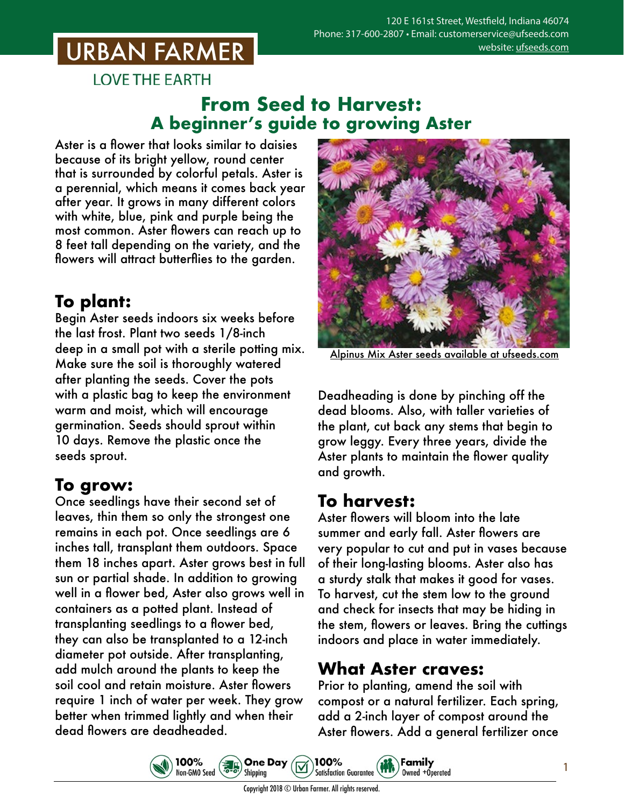# **URBAN FARMER**

**LOVE THE EARTH** 

#### **From Seed to Harvest: A beginner's guide to growing Aster**

Aster is a flower that looks similar to daisies because of its bright yellow, round center that is surrounded by colorful petals. Aster is a perennial, which means it comes back year after year. It grows in many different colors with white, blue, pink and purple being the most common. Aster flowers can reach up to 8 feet tall depending on the variety, and the flowers will attract butterflies to the garden.

# **To plant:**

Begin Aster seeds indoors six weeks before the last frost. Plant two seeds 1/8-inch deep in a small pot with a sterile potting mix. Make sure the soil is thoroughly watered after planting the seeds. Cover the pots with a plastic bag to keep the environment warm and moist, which will encourage germination. Seeds should sprout within 10 days. Remove the plastic once the seeds sprout.

#### **To grow:**

Once seedlings have their second set of leaves, thin them so only the strongest one remains in each pot. Once seedlings are 6 inches tall, transplant them outdoors. Space them 18 inches apart. Aster grows best in full sun or partial shade. In addition to growing well in a flower bed, Aster also grows well in containers as a potted plant. Instead of transplanting seedlings to a flower bed, they can also be transplanted to a 12-inch diameter pot outside. After transplanting, add mulch around the plants to keep the soil cool and retain moisture. Aster flowers require 1 inch of water per week. They grow better when trimmed lightly and when their dead flowers are deadheaded.

100%

Non-GMO Seed



Alpinus Mix Aster seeds [available at ufseeds.com](https://www.ufseeds.com/product-category/flowers/aster/)

Deadheading is done by pinching off the dead blooms. Also, with taller varieties of the plant, cut back any stems that begin to grow leggy. Every three years, divide the Aster plants to maintain the flower quality and growth.

## **To harvest:**

Aster flowers will bloom into the late summer and early fall. Aster flowers are very popular to cut and put in vases because of their long-lasting blooms. Aster also has a sturdy stalk that makes it good for vases. To harvest, cut the stem low to the ground and check for insects that may be hiding in the stem, flowers or leaves. Bring the cuttings indoors and place in water immediately.

## **What Aster craves:**

Prior to planting, amend the soil with compost or a natural fertilizer. Each spring, add a 2-inch layer of compost around the Aster flowers. Add a general fertilizer once

Family

Owned +Operated

1



100%

**Satisfaction Guarantee** 

**One Day** 

Shipping

 $\left(\frac{1}{6}\right)$